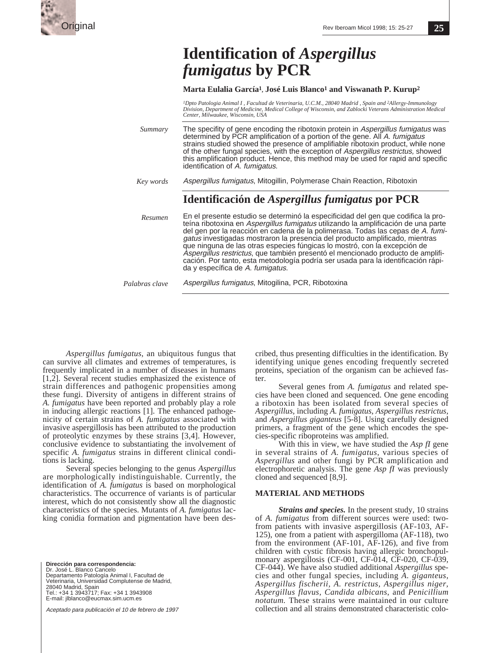

**25**

# **Identification of** *Aspergillus fumigatus* **by PCR**

### **Marta Eulalia García1, José Luis Blanco1 and Viswanath P. Kurup2**

<sup>1</sup>Dpto Patologia Animal I , Facultad de Veterinaria, U.C.M., 28040 Madrid , Spain and <sup>2</sup>Allergy-Immunology<br>Division, Department of Medicine, Medical College of Wisconsin, and Zablocki Veterans Administration Medical *Center, Milwaukee, Wisconsin, USA*

The specifity of gene encoding the ribotoxin protein in Aspergillus fumigatus was determined by PCR amplification of a portion of the gene. All A. fumigatus strains studied showed the presence of amplifiable ribotoxin product, while none of the other fungal species, with the exception of Aspergillus restrictus, showed this amplification product. Hence, this method may be used for rapid and specific identification of A. fumigatus. *Summary*

Aspergillus fumigatus, Mitogillin, Polymerase Chain Reaction, Ribotoxin *Key words*

# **Identificación de** *Aspergillus fumigatus* **por PCR**

En el presente estudio se determinó la especificidad del gen que codifica la proteína ribotoxina en Aspergillus fumigatus utilizando la amplificación de una parte del gen por la reacción en cadena de la polimerasa. Todas las cepas de A. fumigatus investigadas mostraron la presencia del producto amplificado, mientras que ninguna de las otras especies fúngicas lo mostró, con la excepción de Aspergillus restrictus, que también presentó el mencionado producto de amplificación. Por tanto, esta metodología podría ser usada para la identificación rápida y específica de A. fumigatus. *Resumen*

*Palabras clave*

Aspergillus fumigatus, Mitogilina, PCR, Ribotoxina

*Aspergillus fumigatus*, an ubiquitous fungus that can survive all climates and extremes of temperatures, is frequently implicated in a number of diseases in humans  $[1,2]$ . Several recent studies emphasized the existence of strain differences and pathogenic propensities among these fungi. Diversity of antigens in different strains of *A. fumigatus* have been reported and probably play a role in inducing allergic reactions [1]. The enhanced pathogenicity of certain strains of *A. fumigatus* associated with invasive aspergillosis has been attributed to the production of proteolytic enzymes by these strains [3,4]. However, conclusive evidence to substantiating the involvement of specific *A. fumigatus* strains in different clinical conditions is lacking.

Several species belonging to the genus *Aspergillus* are morphologically indistinguishable. Currently, the identification of *A. fumigatus* is based on morphological characteristics. The occurrence of variants is of particular interest, which do not consistently show all the diagnostic characteristics of the species. Mutants of *A. fumigatus* lacking conidia formation and pigmentation have been des-

**Dirección para correspondencia:** Dr. José L. Blanco Cancelo Departamento Patología Animal I, Facultad de Veterinaria, Universidad Complutense de Madrid, 28040 Madrid, Spain Tel.: +34 1 3943717; Fax: +34 1 3943908 E-mail: jlblanco@eucmax.sim.ucm.es

Aceptado para publicación el 10 de febrero de 1997

cribed, thus presenting difficulties in the identification. By identifying unique genes encoding frequently secreted proteins, speciation of the organism can be achieved faster.

Several genes from *A. fumigatus* and related species have been cloned and sequenced. One gene encoding a ribotoxin has been isolated from several species of *Aspergillus,* including *A. fumigatus*, *Aspergillus restrictus,* and *Aspergillus giganteus* [5-8]. Using carefully designed primers, a fragment of the gene which encodes the species-specific riboproteins was amplified.

With this in view, we have studied the *Asp fI* gene in several strains of *A. fumigatus*, various species of *Aspergillus* and other fungi by PCR amplification and electrophoretic analysis. The gene *Asp fI* was previously cloned and sequenced [8,9].

#### **MATERIAL AND METHODS**

*Strains and species.* In the present study, 10 strains of *A. fumigatus* from different sources were used: twofrom patients with invasive aspergillosis (AF-103, AF-125), one from a patient with aspergilloma (AF-118), two from the environment (AF-101, AF-126), and five from children with cystic fibrosis having allergic bronchopulmonary aspergillosis (CF-001, CF-014, CF-020, CF-039, CF-044). We have also studied additional *Aspergillus* species and other fungal species, including *A. giganteus*, *Aspergillus fischerii, A. restrictus*, *Aspergillus niger, Aspergillus flavus, Candida albicans*, and *Penicillium notatum.* These strains were maintained in our culture collection and all strains demonstrated characteristic colo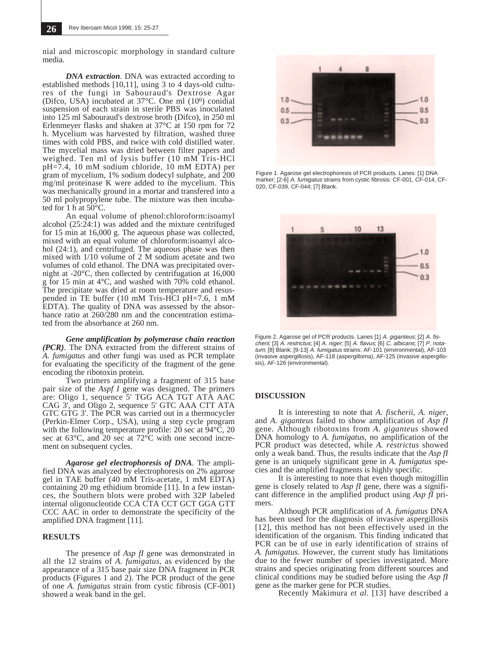nial and microscopic morphology in standard culture media.

*DNA extraction.* DNA was extracted according to established methods [10,11], using 3 to 4 days-old cultures of the fungi in Sabouraud's Dextrose Agar (Difco, USA) incubated at 37°C. One ml (106) conidial suspension of each strain in sterile PBS was inoculated into 125 ml Sabouraud's dextrose broth (Difco), in 250 ml Erlenmeyer flasks and shaken at 37°C at 150 rpm for 72 h. Mycelium was harvested by filtration, washed three times with cold PBS, and twice with cold distilled water. The mycelial mass was dried between filter papers and weighed. Ten ml of lysis buffer (10 mM Tris-HCl pH=7.4, 10 mM sodium chloride, 10 mM EDTA) per gram of mycelium, 1% sodium dodecyl sulphate, and 200 mg/ml proteinase K were added to the mycelium. This was mechanically ground in a mortar and transfered into a 50 ml polypropylene tube. The mixture was then incubated for 1 h at  $50^{\circ}$ C.

An equal volume of phenol:chloroform:isoamyl alcohol  $(25:\overline{24:1})$  was added and the mixture centrifuged for 15 min at 16,000 g. The aqueous phase was collected, mixed with an equal volume of chloroform:isoamyl alcohol (24:1), and centrifuged. The aqueous phase was then mixed with 1/10 volume of 2 M sodium acetate and two volumes of cold ethanol. The DNA was precipitated overnight at -20°C, then collected by centrifugation at 16,000 g for 15 min at 4°C, and washed with 70% cold ethanol. The precipitate was dried at room temperature and resuspended in TE buffer (10 mM Tris-HCl pH=7.6, 1 mM EDTA). The quality of DNA was assessed by the absorbance ratio at 260/280 nm and the concentration estimated from the absorbance at 260 nm.

*Gene amplification by polymerase chain reaction (PCR)*. The DNA extracted from the different strains of *A. fumigatus* and other fungi was used as PCR template for evaluating the specificity of the fragment of the gene encoding the ribotoxin protein.

Two primers amplifying a fragment of 315 base pair size of the *Aspf I* gene was designed. The primers are: Oligo 1, sequence 5' TGG ACA TGT ATA AAC CAG 3', and Oligo 2, sequence 5' GTC AAA CTT ATA GTC GTG 3'. The PCR was carried out in a thermocycler (Perkin-Elmer Corp., USA), using a step cycle program with the following temperature profile: 20 sec at  $\overline{9}4^{\circ}\overline{C}$ , 20 sec at  $63^{\circ}$ C, and 20 sec at  $72^{\circ}$ C with one second increment on subsequent cycles.

*Agarose gel electrophoresis of DNA.* The amplified DNA was analyzed by electrophoresis on 2% agarose gel in TAE buffer (40 mM Tris-acetate, 1 mM EDTA) containing 20 mg ethidium bromide [11]. In a few instances, the Southern blots were probed with 32P labeled internal oligonucleotide CCA CTA CCT GCT GGA GTT CCC AAC in order to demonstrate the specificity of the amplified DNA fragment [11].

## **RESULTS**

The presence of *Asp fI* gene was demonstrated in all the 12 strains of *A. fumigatus,* as evidenced by the appearance of a 315 base pair size DNA fragment in PCR products (Figures 1 and 2). The PCR product of the gene of one *A. fumigatus* strain from cystic fibrosis (CF-001) showed a weak band in the gel.



Figure 1. Agarose gel electrophoresis of PCR products. Lanes: [1] DNA marker; [2-6] A. fumigatus strains from cystic fibrosis: CF-001, CF-014, CF-020, CF-039, CF-044; [7] Blank.



Figure 2. Agarose gel of PCR products. Lanes [1] A. giganteus; [2] A. fischerii; [3] A. restrictus; [4] A. niger; [5] A. flavus; [6] C. albicans; [7] P. notatum; [8] Blank; [9-13] A. fumigatus strains: AF-101 (environmental), AF-103 (invasive aspergillosis), AF-118 (aspergilloma), AF-125 (invasive aspergillosis), AF-126 (environmental).

#### **DISCUSSION**

It is interesting to note that *A. fischerii*, *A. niger,* and *A. giganteus* failed to show amplification of *Asp fI* gene. Although ribotoxins from *A. giganteus* showed DNA homology to *A. fumigatus*, no amplification of the PCR product was detected, while *A. restrictus* showed only a weak band. Thus, the results indicate that the *Asp fI* gene is an uniquely significant gene in *A. fumigatus* species and the amplified fragments is highly specific.

It is interesting to note that even though mitogillin gene is closely related to *Asp fI* gene, there was a significant difference in the amplified product using *Asp fI* primers.

Although PCR amplification of *A. fumigatus* DNA has been used for the diagnosis of invasive aspergillosis [12], this method has not been effectively used in the identification of the organism. This finding indicated that PCR can be of use in early identification of strains of *A. fumigatus*. However, the current study has limitations due to the fewer number of species investigated. More strains and species originating from different sources and clinical conditions may be studied before using the *Asp fI* gene as the marker gene for PCR studies.

Recently Makimura *et al.* [13] have described a